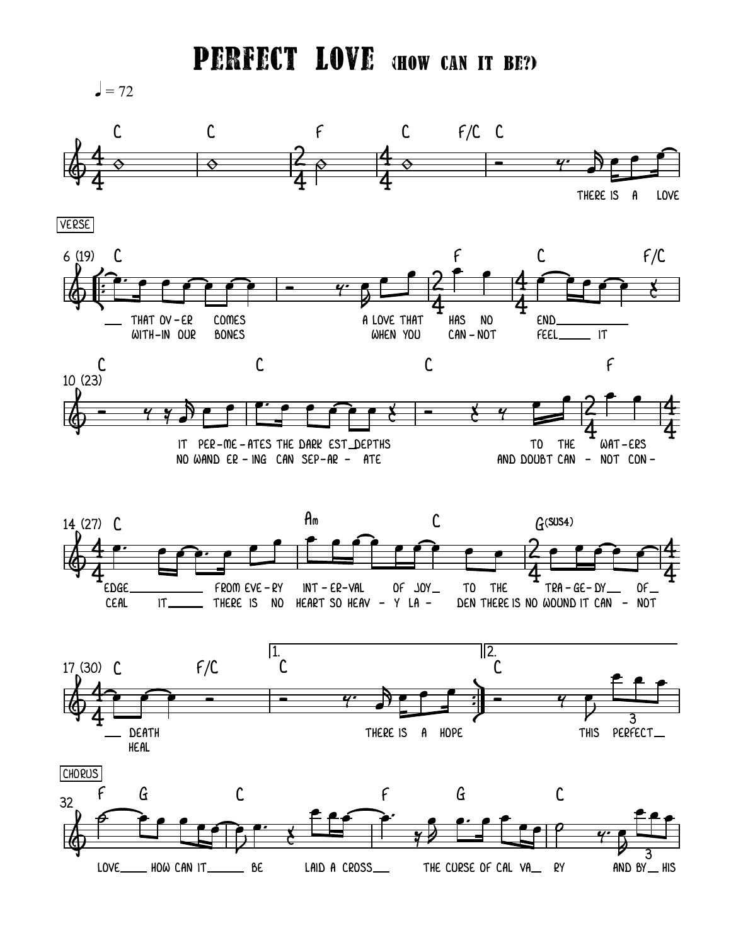**PERFECT LOVE GHOW CAN IT BE?)** 

 $=72$ 











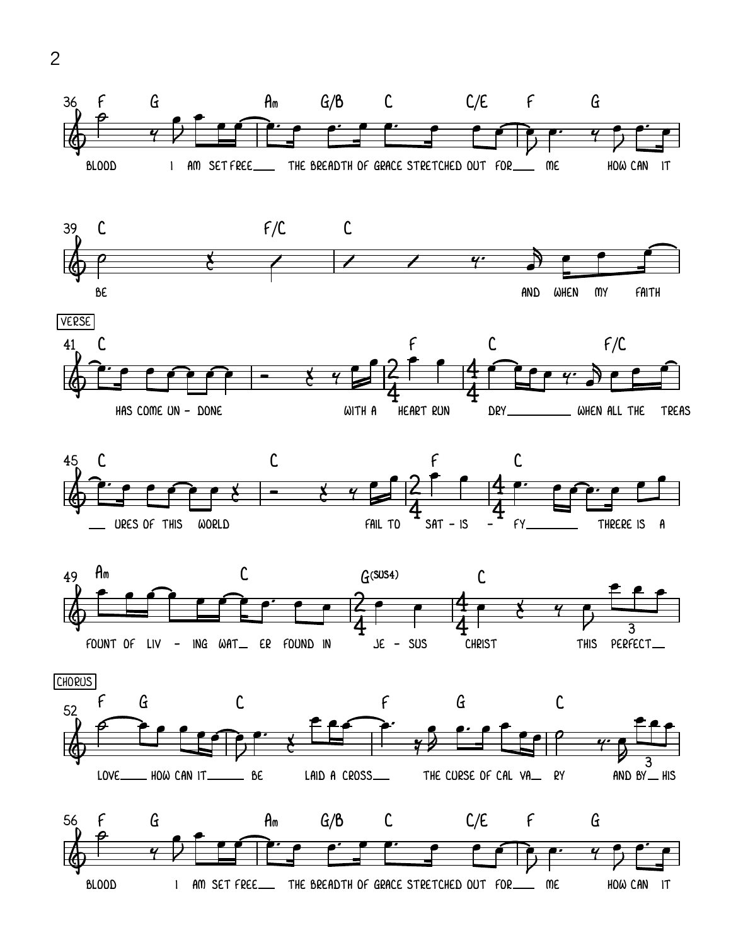











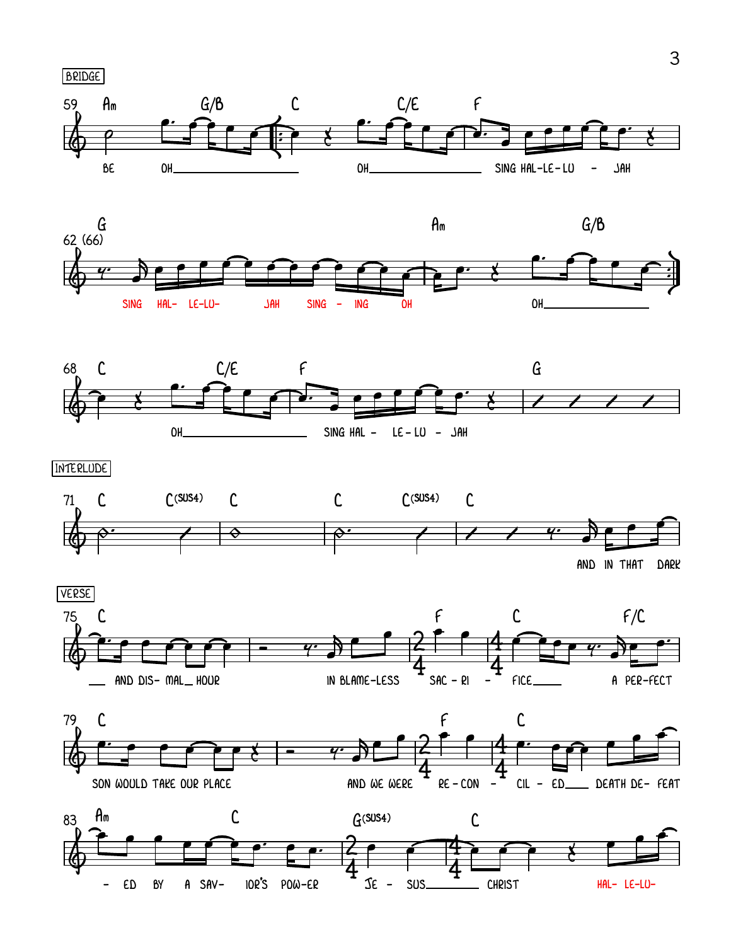





INTERLUDE